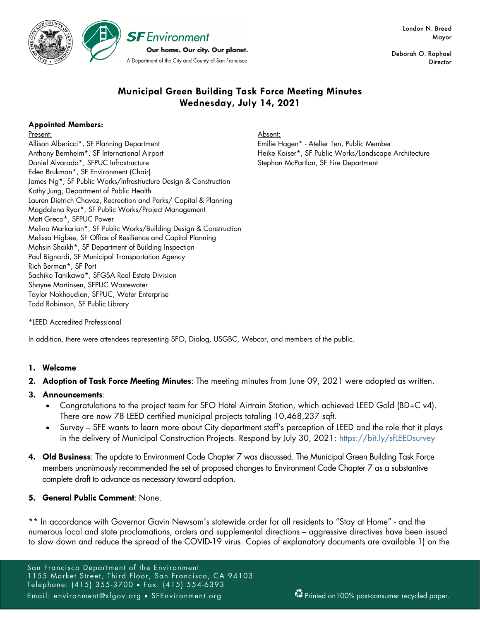

Deborah O. Raphael **Director** 

## **Municipal Green Building Task Force Meeting Minutes Wednesday, July 14, 2021**

## **Appointed Members:**

Present:

Allison Albericci\*, SF Planning Department Anthony Bernheim\*, SF International Airport Daniel Alvarado\*, SFPUC Infrastructure Eden Brukman\*, SF Environment (Chair) James Ng\*, SF Public Works/Infrastructure Design & Construction Kathy Jung, Department of Public Health Lauren Dietrich Chavez, Recreation and Parks/ Capital & Planning Magdalena Ryor\*, SF Public Works/Project Management Matt Greco\*, SFPUC Power Melina Markarian\*, SF Public Works/Building Design & Construction Melissa Higbee, SF Office of Resilience and Capital Planning Mohsin Shaikh\*, SF Department of Building Inspection Paul Bignardi, SF Municipal Transportation Agency Rich Berman\*, SF Port Sachiko Tanikawa\*, SFGSA Real Estate Division Shayne Martinsen, SFPUC Wastewater Taylor Nokhoudian, SFPUC, Water Enterprise Todd Robinson, SF Public Library

Absent:

Emilie Hagen\* - Atelier Ten, Public Member Heike Kaiser\*, SF Public Works/Landscape Architecture Stephan McPartlan, SF Fire Department

\*LEED Accredited Professional

In addition, there were attendees representing SFO, Dialog, USGBC, Webcor, and members of the public.

## **1. Welcome**

- **2. Adoption of Task Force Meeting Minutes**: The meeting minutes from June 09, 2021 were adopted as written.
- **3. Announcements**:
	- Congratulations to the project team for SFO Hotel Airtrain Station, which achieved LEED Gold (BD+C v4). There are now 78 LEED certified municipal projects totaling 10,468,237 sqft.
	- Survey SFE wants to learn more about City department staff's perception of LEED and the role that it plays in the delivery of Municipal Construction Projects. Respond by July 30, 2021: https://bit.ly/sfLEEDsurvey
- **4. Old Business**: The update to Environment Code Chapter 7 was discussed. The Municipal Green Building Task Force members unanimously recommended the set of proposed changes to Environment Code Chapter 7 as a substantive complete draft to advance as necessary toward adoption.

## **5. General Public Comment**: None.

\*\* In accordance with Governor Gavin Newsom's statewide order for all residents to "Stay at Home" - and the numerous local and state proclamations, orders and supplemental directions – aggressive directives have been issued to slow down and reduce the spread of the COVID-19 virus. Copies of explanatory documents are available 1) on the